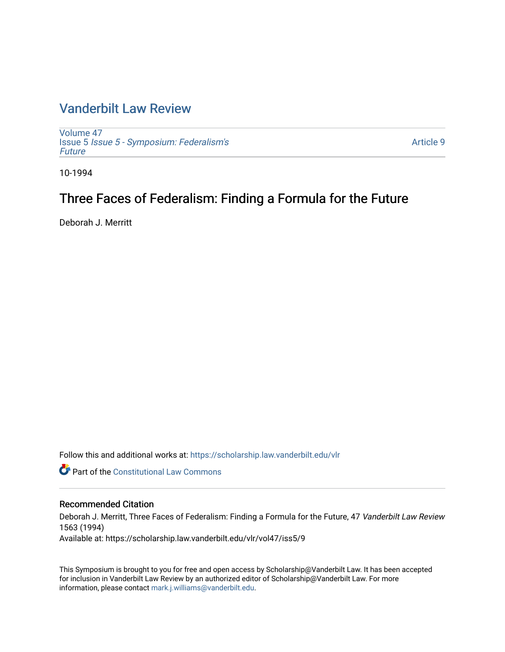# [Vanderbilt Law Review](https://scholarship.law.vanderbilt.edu/vlr)

[Volume 47](https://scholarship.law.vanderbilt.edu/vlr/vol47) Issue 5 [Issue 5 - Symposium: Federalism's](https://scholarship.law.vanderbilt.edu/vlr/vol47/iss5) [Future](https://scholarship.law.vanderbilt.edu/vlr/vol47/iss5)

[Article 9](https://scholarship.law.vanderbilt.edu/vlr/vol47/iss5/9) 

10-1994

# Three Faces of Federalism: Finding a Formula for the Future

Deborah J. Merritt

Follow this and additional works at: [https://scholarship.law.vanderbilt.edu/vlr](https://scholarship.law.vanderbilt.edu/vlr?utm_source=scholarship.law.vanderbilt.edu%2Fvlr%2Fvol47%2Fiss5%2F9&utm_medium=PDF&utm_campaign=PDFCoverPages)

**C** Part of the Constitutional Law Commons

## Recommended Citation

Deborah J. Merritt, Three Faces of Federalism: Finding a Formula for the Future, 47 Vanderbilt Law Review 1563 (1994)

Available at: https://scholarship.law.vanderbilt.edu/vlr/vol47/iss5/9

This Symposium is brought to you for free and open access by Scholarship@Vanderbilt Law. It has been accepted for inclusion in Vanderbilt Law Review by an authorized editor of Scholarship@Vanderbilt Law. For more information, please contact [mark.j.williams@vanderbilt.edu](mailto:mark.j.williams@vanderbilt.edu).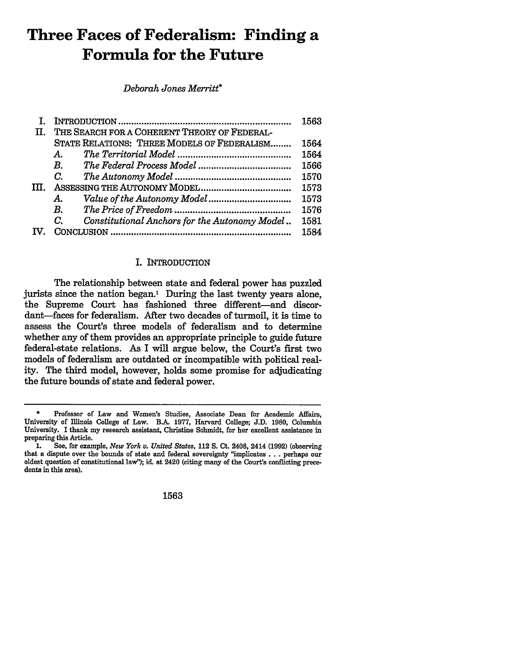# **Three Faces of Federalism: Finding a Formula for the Future**

*Deborah Jones Merritt\**

|    |                                                     | 1563 |
|----|-----------------------------------------------------|------|
| П. | THE SEARCH FOR A COHERENT THEORY OF FEDERAL-        |      |
|    | STATE RELATIONS: THREE MODELS OF FEDERALISM         | 1564 |
|    | А.                                                  | 1564 |
|    | $B_{\cdot}$                                         | 1566 |
|    | C.                                                  | 1570 |
|    |                                                     | 1573 |
|    | А.                                                  | 1573 |
|    | В.                                                  | 1576 |
|    | C.<br>Constitutional Anchors for the Autonomy Model | 1581 |
|    |                                                     | 1584 |

# I. INTRODUCTION

The relationship between state and federal power has puzzled jurists since the nation began.' During the last twenty years alone, the Supreme Court has fashioned three different-and discordant-faces for federalism. After two decades of turmoil, it is time to assess the Court's three models of federalism and to determine whether any of them provides an appropriate principle to guide future federal-state relations. As I will argue below, the Court's first two models of federalism are outdated or incompatible with political reality. The third model, however, holds some promise for adjudicating the future bounds of state and federal power.

**1563**

**<sup>\*</sup>** Professor of Law and Women's Studies, Associate Dean for Academic Affairs, University of Illinois College of Law. B.A. **1977,** Harvard College; **J.D. 1980,** Columbia University. I thank my research assistant, Christine Schmidt, for her excellent assistance in preparing this Article.

**<sup>1.</sup>** See, for example, *New York v. United States,* 112 **S.** Ct. 2408, 2414 **(1992)** (observing that a dispute over the bounds of state and federal sovereignty "implicates **...** perhaps our oldest question of constitutional law"); id. at 2420 (citing many of the Court's conflicting precedents in this area).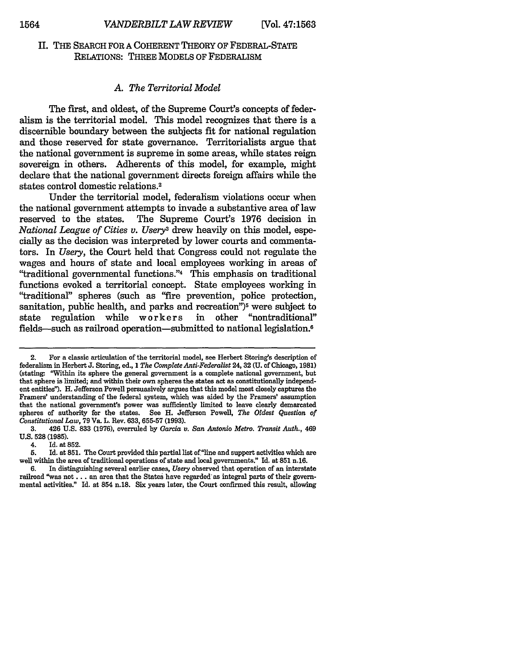# II. THE SEARCH FOR A COHERENT THEORY OF FEDERAL-STATE RELATIONS: THREE MODELS OF FEDERALISM

#### *A. The Territorial Model*

The first, and oldest, of the Supreme Court's concepts of federalism is the territorial model. This model recognizes that there is a discernible boundary between the subjects fit for national regulation and those reserved for state governance. Territorialists argue that the national government is supreme in some areas, while states reign sovereign in others. Adherents of this model, for example, might declare that the national government directs foreign affairs while the states control domestic relations.<sup>2</sup>

Under the territorial model, federalism violations occur when the national government attempts to invade a substantive area of law reserved to the states. The Supreme Court's 1976 decision in *National League of Cities* v. *Usery<sup>3</sup>*drew heavily on this model, especially as the decision was interpreted by lower courts and commentators. In *Usery,* the Court held that Congress could not regulate the wages and hours of state and local employees working in areas of "traditional governmental functions."4 This emphasis on traditional functions evoked a territorial concept. State employees working in "traditional" spheres (such as "fire prevention, police protection, sanitation, public health, and parks and recreation<sup>")5</sup> were subject to state regulation while workers in other "nontraditional" state regulation while workers fields-such as railroad operation-submitted to national legislation.<sup>6</sup>

4. Id. at 852.

<sup>2.</sup> For a classic articulation of the territorial model, see Herbert Storing's description of federalism in Herbert **J.** Storing, ed., *1 The Complete Anti-Federalist* 24, **32 (U.** of Chicago, **1981)** (stating. "Within its sphere the general government is a complete national government, but that sphere is limited; and within their own spheres the states act as constitutionally independ**ent** entities"). H. Jefferson Powell persuasively argues that this model most closely captures the Framers' understanding of the federal system, which was aided by the Framers' assumption that the national government's power was sufficiently limited to leave clearly demarcated spheres of authority for the states. See H. Jefferson Powell, *The Oldest Question of Constitutional Law,* 79 Va. L. Rev. 633, **655-57** (1993).

<sup>3. 426</sup> U.S. **833** (1976), overruled by *Garcia v. San Antonio Metro. Transit Auth.,* 469 U.S. **528** (1985).

**<sup>5.</sup>** Id. at **851.** The Court provided this partial list of "line and support activities which are well within the area of traditional operations of state and local governments." Id. at **851** n.16.

<sup>6.</sup> In distinguishing several earlier cases, *Usery* observed that operation of an interstate railroad "was not... an area that the States have regarded as integral parts of their governmental activities." Id. at 854 n.18. Six years later, the Court confirmed this result, allowing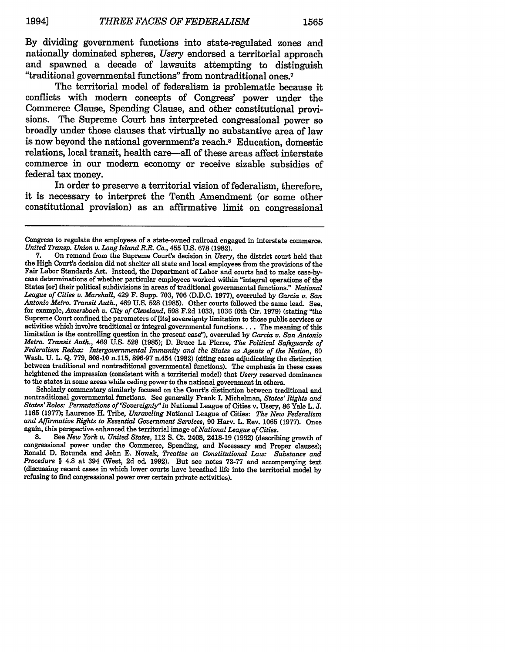By dividing government functions into state-regulated zones and nationally dominated spheres, *Usery* endorsed a territorial approach and spawned a decade of lawsuits attempting to distinguish "traditional governmental functions" from nontraditional ones.7

The territorial model of federalism is problematic because it conflicts with modern concepts of Congress' power under the Commerce Clause, Spending Clause, and other constitutional provisions. The Supreme Court has interpreted congressional power so broadly under those clauses that virtually no substantive area of law is now beyond the national government's reach.8 Education, domestic relations, local transit, health care—all of these areas affect interstate commerce in our modern economy or receive sizable subsidies of federal tax money.

In order to preserve a territorial vision of federalism, therefore, it is necessary to interpret the Tenth Amendment (or some other constitutional provision) as an affirmative limit on congressional

Scholarly commentary similarly focused on the Court's distinction between traditional and nontraditional governmental functions. See generally Frank I. Michelman, *States' Rights and States'Roles: Permutations of "Sovereignty" in* National League of Cities v. Usery, **86** Yale L. **J.** 1165 **(1977);** Laurence H. Tribe, *Unraveling* National League of Cities: *The New Federalism and Affirmative Rights to Essential Government Services,* **90** Harv. L. Rev. **1065 (1977).** Once again, this perspective enhanced the territorial image of *National League of Cities.*

**8.** See *New York v. United States,* 112 **S.** Ct. 2408, 2418-19 **(1992)** (describing growth of congressional power under the Commerce, Spending, and Necessary and Proper clauses); Ronald **D.** Rotunda and John **E.** Nowak, *Treatise on Constitutional Law: Substance and Procedure §* 4.8 at 394 (West, **2d** ed. **1992).** But see notes **73-77** and accompanying text (discussing recent cases in which lower courts have breathed life into the territorial model **by** refusing to find congressional power over certain private activities).

Congress to regulate the employees of a state-owned railroad engaged in interstate commerce. *United Transp. Union v. Long Island R.R. Co.,* 455 U.S. **678 (1982).**

<sup>7.</sup> On remand from the Supreme Court's decision in *Usery,* the district court held that the **High** Court's decision did not shelter all state and local employees from the provisions of the case determinations of whether particular employees worked within "integral operations of the States [or] their political subdivisions in areas of traditional governmental functions." *National League of Cities v. Marshall,* 429 F. Supp. **703, 706 (D.D.C. 1977),** overruled **by** *Garcia v. San Antonio Metro. Transit Auth.,* 469 **U.S. 528 (1985).** Other courts followed the same lead. See, for example, *Amersbach v. City of Cleveland,* **598 F.2d 1033, 1036** (6th Cir. **1979)** (stating "the activities which involve traditional or integral governmental functions.... The meaning of this limitation is the controlling question in the present case"), overruled **by** *Garcia v. San Antonio Metro. Transit Auth.,* 469 **U.S. 528 (1985); D.** Bruce La Pierre, *The Political Safeguards of* Federalism Redux: Intergovernmental Immunity and the States as Agents of the Nation, 60 Wash. U. L. Q. 779, 808-10 n.115, 896-97 n.454 (1982) (citing cases adjudicating the distinction between traditional and nontraditional governmental functions). The emphasis in these cases heightened the impression (consistent with a torriterial model) that *Usery* reserved dominance to the states in some areas while ceding power to the national government in others.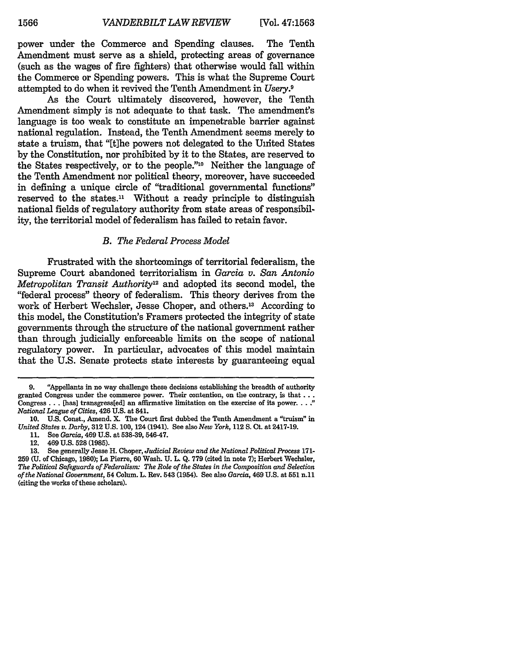power under the Commerce and Spending clauses. The Tenth Amendment must serve as a shield, protecting areas of governance (such as the wages of fire fighters) that otherwise would fall within the Commerce or Spending powers. This is what the Supreme Court attempted to do when it revived the Tenth Amendment in *Usery.9*

As the Court ultimately discovered, however, the Tenth Amendment simply is not adequate to that task. The amendment's language is too weak to constitute an impenetrable barrier against national regulation. Instead, the Tenth Amendment seems merely to state a truism, that "[tihe powers not delegated to the United States by the Constitution, nor prohibited by it to the States, are reserved to the States respectively, or to the people."<sup>10</sup> Neither the language of the Tenth Amendment nor political theory, moreover, have succeeded in defining a unique circle of "traditional governmental functions" reserved to the states.<sup>11</sup> Without a ready principle to distinguish national fields of regulatory authority from state areas of responsibility, the territorial model of federalism has failed to retain favor.

#### *B. The Federal Process Model*

Frustrated with the shortcomings of territorial federalism, the Supreme Court abandoned territorialism in *Garcia v. San Antonio Metropolitan Transit Authority12* and adopted its second model, the "federal process" theory of federalism. This theory derives from the work of Herbert Wechsler, Jesse Choper, and others.<sup>13</sup> According to this model, the Constitution's Framers protected the integrity of state governments through the structure of the national government rather than through judicially enforceable limits on the scope of national regulatory power. In particular, advocates of this model maintain that the U.S. Senate protects state interests by guaranteeing equal

**<sup>9.</sup>** "Appellants in no way challenge these decisions establishing the breadth of authority granted Congress under the commerce power. Their contention, on the contrary, is **that...** Congress... [has] transgress[ed] an affirmative limitation on the exercise of its **power.....** *National League of Cities,* 426 **U.S.** at 841.

**<sup>10.</sup> U.S.** Const., Amend. **X.** The Court first dubbed the Tenth Amendment a "truism" in *United States v. Darby,* **312 U.S. 100,** 124 (1941). See also *New York,* 112 **S.** Ct. at 2417-19.

**<sup>11.</sup>** See *Garcia,* 469 **U.S.** at **538-39, 546-47.**

<sup>12. 469</sup> **U.S. 528 (1985).**

**<sup>13.</sup>** See generally Jesse H. Choper, *Judicial Review and the National Political Process* **171- 259** (U. of Chicago, 1980); La Pierre, 60 Wash. U. L. Q. 779 (cited in note **7);** Herbert Wechsler, *The Political Safeguards of Federalism: The Role of the States in the Composition and Selection of the National Government,* 54 Colum. L. Rev. 543 (1954). See also *Garcia,* 469 U.S. at **551** n.11 (citing the works of these scholars).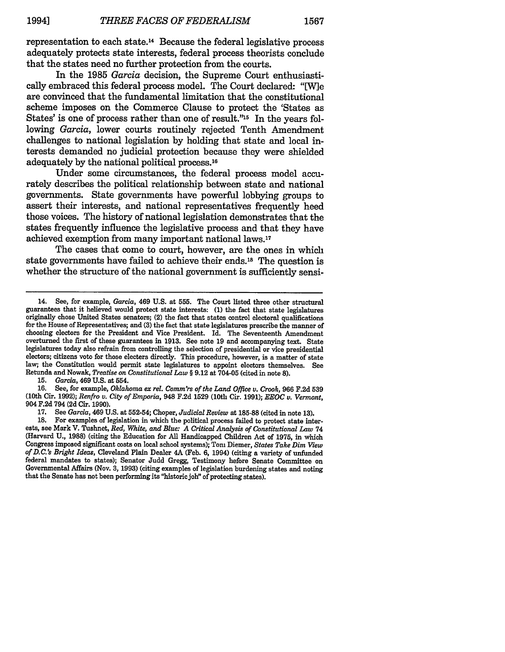representation to each state.'4 Because the federal legislative process adequately protects state interests, federal process theorists conclude that the states need no further protection from the courts.

In the 1985 *Garcia* decision, the Supreme Court enthusiastically embraced this federal process model. The Court declared: "[W]e are convinced that the fundamental limitation that the constitutional scheme imposes on the Commerce Clause to protect the 'States as States' is one of process rather than one of result."<sup>15</sup> In the years following *Garcia,* lower courts routinely rejected Tenth Amendment challenges to national legislation by holding that state and local interests demanded no judicial protection because they were shielded adequately by the national political process.<sup>16</sup>

Under some circumstances, the federal process model accurately describes the political relationship between state and national governments. State governments have powerful lobbying groups to assert their interests, and national representatives frequently heed those voices. The history of national legislation demonstrates that the states frequently influence the legislative process and that they have achieved exemption from many important national laws. <sup>17</sup>

The cases that come to court, however, are the ones in which state governments have failed to achieve their ends.18 The question is whether the structure of the national government is sufficiently sensi-

**15.** *Garcia,* 469 **U.S.** at 554.

**16.** See, for example, *Oklahoma ex rel. Comm'rs of the Land Office v. Crook,* **966 F.2d 539** (10th Cir. **1992);** *Renfro v. City of Emporia,* 948 **F.2d 1529** (10th Cir. **1991);** *EEOC v. Vermont,* 904 **F.2d** 794 **(2d** Cir. **1990).**

**17.** See *Garcia,* 469 **U.S.** at **552-54;** Choper, *Judicial Review* at **185-88** (cited in note **13).**

**18.** For examples of legislation in which the political process failed to protect state interests, see Mark V. Tushnet, *Red, White, and Blue: A Critical Analysis of Constitutional Law* 74 (Harvard **U., 1988)** (citing the Education for **All** Handicapped Children Act of **1975,** in which Congress imposed significant costs on local school systems); Tom Diemer, *States Take Dim View of D.C.'s Bright Ideas,* Cleveland Plain Dealer 4A (Feb. **6,** 1994) (citing a variety of unfunded federal mandates to states); Senator Judd Gregg, Testimony before Senate Committee on Governmental Affairs (Nov. **3, 1993)** (citing examples of legislation burdening states and noting that the Senate has not been performing its "historic job" of protecting states).

<sup>14.</sup> See, for example, *Garcia,* 469 **U.S.** at **555.** The Court listed three other structural guarantees that it believed would protect state interests: **(1)** the fact that state legislatures originally chose United States senators; (2) the fact that states control electoral qualifications for the House of Representatives; and **(3)** the fact that state legislatures prescribe the manner of choosing electors for the President and Vice President. Id. The Seventeenth Amendment overturned the first of these guarantees in **1913.** See note **19** and accompanying text. State legislatures today also refrain from controlling the selection of presidential or vice presidential electors; citizens voto for those electers directly. This procedure, however, is a matter of state law; the Constitution would permit state legislatures to appoint electors themselves. See Retunda and Nowak, *Treatise on Constitutional Law* § 9.12 at 704-05 (cited in note 8).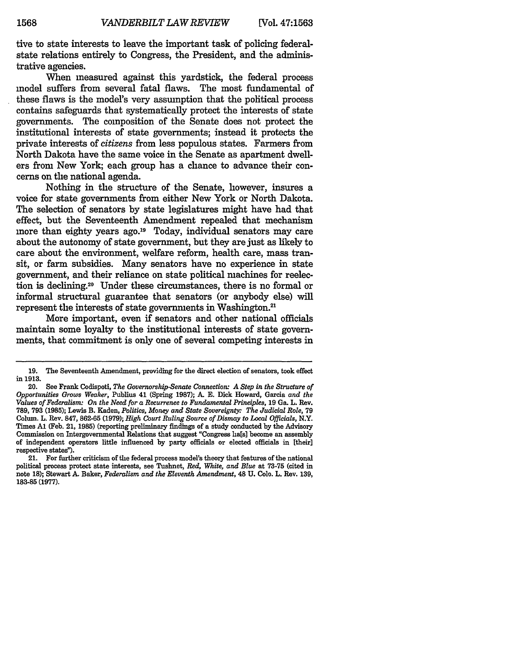tive to state interests to leave the important task of policing federalstate relations entirely to Congress, the President, and the administrative agencies.

When measured against this yardstick, the federal process model suffers from several fatal flaws. The most fundamental of these flaws is the model's very assumption that the political process contains safeguards that systematically protect the interests of state governments. The composition of the Senate does not protect the institutional interests of state governments; instead it protects the private interests of *citizens* from less populous states. Farmers from North Dakota have the same voice in the Senate as apartment dwellers from New York; each group has a chance to advance their concerns on the national agenda.

Nothing in the structure of the Senate, however, insures a voice for state governments from either New York or North Dakota. The selection of senators by state legislatures might have had that effect, but the Seventeenth Amendment repealed that mechanism more than eighty years ago.<sup>19</sup> Today, individual senators may care about the autonomy of state government, but they are just as likely to care about the environment, welfare reform, health care, mass transit, or farm subsidies. Many senators have no experience in state government, and their reliance on state political machines for reelection is declining.20 Under these circumstances, there is no formal or informal structural guarantee that senators (or anybody else) will represent the interests of state governments in Washington.<sup>21</sup>

More important, even if senators and other national officials maintain some loyalty to the institutional interests of state governments, that commitment is only one of several competing interests in

<sup>19.</sup> The Seventeenth Amendment, providing for the direct election of senators, took effect in **1913.**

<sup>20.</sup> See Frank Codispoti, *The Governorship-Senate Connection: A Step in the Structure of Opportunities Grows Weaker,* Publius 41 (Spring **1987); A. E.** Dick Howard, Garcia *and the Values of Federalism: On the Need for a Recurrence to Fundamental Principles,* **19** Ga. L. Rev. **789, 793 (1985);** Lewis B. Kaden, *Politics, Money and State Sovereignty: The Judicial Role,* **79** Colum. L. Rev. 847, **862-65 (1979);** *High Court Ruling Source of Dismay to Local Officials,* N.Y. Times **Al** (Feb. 21, **1985)** (reporting preliminary findings of a study conducted **by** the Advisory Commission on Intergovernmental Relations that suggest "Congress ha[s] become an assembly of independent operators little influenced **by** party officials or elected officials in (their] respective states").

<sup>21.</sup> For further criticism of the federal process model's theory that features of the national political process protect state interests, see Tushnet, *Red, White, and Blue* at **73-75** (cited in note **18);** Stewart **A.** Baker, *Federalism and the Eleventh Amendment,* 48 **U.** Colo. L. Rev. **139, 183-85 (1977).**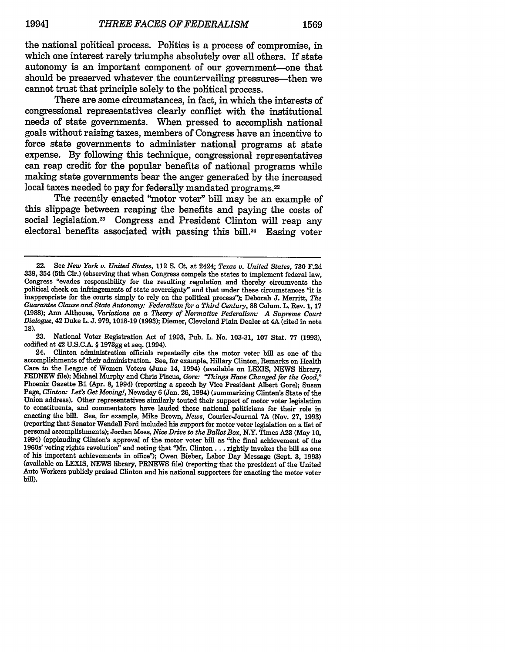the national political process. Politics is a process of compromise, in which one interest rarely triumphs absolutely over all others. If state autonomy is an important component of our government-one that should be preserved whatever the countervailing pressures—then we cannot trust that principle solely to the political process.

There are some circumstances, in fact, in which the interests of congressional representatives clearly conflict with the institutional needs of state governments. When pressed to accomplish national goals without raising taxes, members of Congress have an incentive to force state governments to administer national programs at state expense. **By** following this technique, congressional representatives can reap credit for the popular benefits of national programs while making state governments bear the anger generated **by** the increased local taxes needed to pay for federally mandated programs.<sup>22</sup>

The recently enacted "motor voter" bill may be an example of this slippage between reaping the benefits and paying the costs of social legislation.<sup>23</sup> Congress and President Clinton will reap any electoral benefits associated with passing this bill.<sup>24</sup> Easing voter

**23.** National Voter Registration Act of 1993, Pub. L. No. 103-31, 107 Stat. 77 (1993), codified at 42 **U.S.C-.** § **1973gg** et seq. (1994).

<sup>22.</sup> See *New York v. United States,* 112 S. Ct. at 2424; *Texas v. United States,* 730 F.2d 339, 354 (5th Cir.) (observing that when Congress compels the states to implement federal law, Congress "evades responsibility for the resulting regulation and thereby circumvents the political check on infringements of state sovereignty" and that under these circumstances "it is inappropriate for the courts simply to rely on the political process"); Deborah J. Merritt, *The Guarantee Clause and State Autonomy: Federalism for a Third Century,* 88 Colum. L. Rev. 1, 17 (1988); Ann Althouse, *Variations on a Theory of Normative Federalism: A Supreme Court Dialogue,* 42 Duke L. J. 979, 1018-19 (1993); Diemer, Cleveland Plain Dealer at 4A (cited in note **18).**

<sup>24.</sup> Clinton administration officials repeatedly cite the motor voter bill as one of the accomplishments of their administration. See, for example, Hillary Clinton, Remarks on Health Care to the League of Women Voters (June 14, 1994) (available on **LEXIS, NEWS** library, **FEDNEW** file); Michael Murphy and Chris Fiscus, *Gore: 'Things Have Changed for the Good,"* Phoenix Gazette **B1** (Apr. **8,** 1994) (reporting a speech **by** Vice President Albert Gore); Susan Page, *Clinton: Let's Get Moving!,* Newsday **6** (Jan. **26,** 1994) (summarizing Clinton's State of the Union address). Other representatives similarly touted their support of motor voter legislation to constituents, and commentators have lauded these national politicians for their role in enacting the bill. See, for example, Mike Brown, *News,* Courier-Journal **7A** (Nov. **27, 1993)** (reporting that Senator Wendell Ford included his support for motor voter legislation on a list of personal accomplishments); Jordan Moss, *Nice Drive to the Ballot Box,* N.Y. Times **A23** (May **10,** 1994) (applauding Clinton's approval of the motor voter bill as "the final achievement of the 1960s' voting rights revolution" and noting that "Mr. Clinton... rightly invokes the bill as one of his important achievements in office"); Owen Bieber, Labor Day Message (Sept. 3, 1993) (available on LEXIS, NEWS library, PRNEWS file) (reporting that the president of the United Auto Workers publicly praised Clinton and his national supporters for enacting the motor voter bill).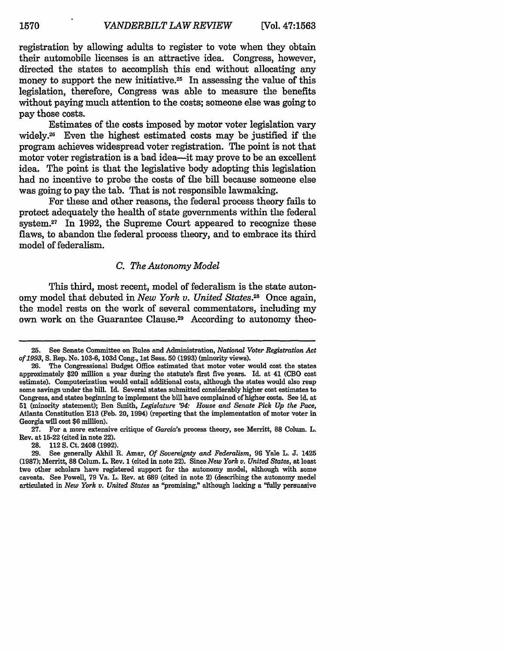registration by allowing adults to register to vote when they obtain their automobile licenses is an attractive idea. Congress, however, directed the states to accomplish this end without allocating any money to support the new initiative.<sup>25</sup> In assessing the value of this legislation, therefore, Congress was able to measure the benefits without paying much attention to the costs; someone else was going to pay those costs.

Estimates of the costs imposed by motor voter legislation vary widely.26 Even the highest estimated costs may be justified if the program achieves widespread voter registration. The point is not that motor voter registration is a bad idea-it may prove to be an excellent idea. The point is that the legislative body adopting this legislation had no incentive to probe the costs of ihe bill because someone else was going to pay the tab. That is not responsible lawmaking.

For these and other reasons, the federal process theory fails to protect adequately the health of state governments within the federal system.<sup>27</sup> In 1992, the Supreme Court appeared to recognize these flaws, to abandon the federal process theory, and to embrace its third model of federalism.

#### *C. The Autonomy Model*

This third, most recent, model of federalism is the state autonomy model that debuted in *New York v. United States.*<sup>28</sup> Once again, the model rests on the work of several commentators, including my own work on the Guarantee Clause.<sup>29</sup> According to autonomy theo-

27. For a more extensive critique of *Garcia's* process theory, see Merritt, **88** Colum. L. Rev. at 15-22 (cited in note 22).

28. 112 **S.** Ct. 2408 (1992).

**<sup>25.</sup>** See Senate Committee on Rules and Administration, *National Voter Registration Act of 1993,* S. Rep. No. 103-6, 103d Cong., 1st Sess. **50** (1993) (minority views).

<sup>26.</sup> The Congressional Budget Office estimated that motor voter would cost the states approximately \$20 million a year during the statute's first five years. Id. at 41 (CBO cost estimate). Computerization would entail additional costs, although the states would also reap some savings under the bill. Id. Several states submitted considerably higher cost estimates to Congress, and states beginning to implement the bill have complained of higher costs. See id. at **51** (minority statement); Ben Smith, *Legislature '94: House and Senate Pick Up the Pace,* Atlanta Constitution **E13** (Feb. 20, 1994) (reporting that the implementation of motor voter in Georgia will cost **\$6** million).

<sup>29.</sup> See generally Akhil R. Amar, *Of Sovereignty and Federalism,* **96** Yale L. J. 1425 (1987); Merritt, **88** Colum. L. Rev. **1** (cited in note 22). Since *New York v. United States,* at least two other scholars have registered support for the autonomy model, although with some caveats. See Powell, 79 Va. L. Rev. at **689** (cited in note 2) (describing the autonomy model articulated in *New York v. United States* as "promising," although lacking a "fully persuasive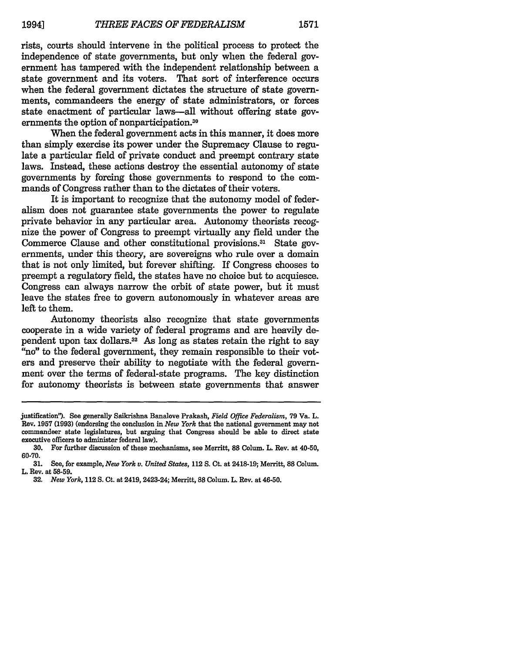rists, courts should intervene in the political process to protect the independence of state governments, but only when the federal government has tampered with the independent relationship between a state government and its voters. That sort of interference occurs when the federal government dictates the structure of state governments, commandeers the energy of state administrators, or forces state enactment of particular laws-all without offering state governments the option of nonparticipation.<sup>30</sup>

When the federal government acts in this manner, it does more than simply exercise its power under the Supremacy Clause to regulate a particular field of private conduct and preempt contrary state laws. Instead, these actions destroy the essential autonomy of state governments by forcing those governments to respond to the commands of Congress rather than to the dictates of their voters.

It is important to recognize that the autonomy model of federalism does not guarantee state governments the power to regulate private behavior in any particular area. Autonomy theorists recognize the power of Congress to preempt virtually any field under the Commerce Clause and other constitutional provisions.<sup>31</sup> State governments, under this theory, are sovereigns who rule over a domain that is not only limited, but forever shifting. If Congress chooses to preempt a regulatory field, the states have no choice but to acquiesce. Congress can always narrow the orbit of state power, but it must leave the states free to govern autonomously in whatever areas are left to them.

Autonomy theorists also recognize that state governments cooperate in a wide variety of federal programs and are heavily dependent upon tax dollars.32 As long as states retain the right to say "no" to the federal government, they remain responsible to their voters and preserve their ability to negotiate with the federal government over the terms of federal-state programs. The key distinction for autonomy theorists is between state governments that answer

justification"). See generally Saikrishna Banalove Prakash, *Field Office Federalism,* **79** Va. L. Rev. **1957 (1993)** (endorsing the conclusion in *New York* that the national government may not commandeer state legislatures, but arguing that Congress should be able to direct state executive officers to administer federal law).

**<sup>30.</sup>** For further discussion of these mechanisms, see Merritt, **88** Colum. L. Rev. at 40-50, **60-70.**

**<sup>31.</sup>** See, for example, *New York u. United States,* 112 **S.** Ct. at 2418-19; Merritt, 88 Colum. L. Rev. at **58-59.**

**<sup>32.</sup>** *New York,* 112 **S.** Ct. at 2419, 2423-24; Merritt, 88 Colum. L. Rev. at 46-50.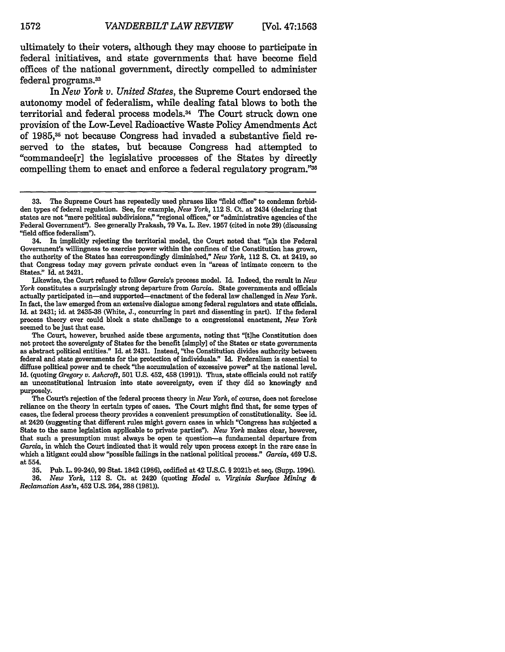ultimately to their voters, although they may choose to participate in federal initiatives, and state governments that have become field offices of the national government, directly compelled to administer federal programs.<sup>33</sup>

In *New York v. United States,* the Supreme Court endorsed the autonomy model of federalism, while dealing fatal blows to both the territorial and federal process models.<sup>34</sup> The Court struck down one provision of the Low-Level Radioactive Waste Policy Amendments Act of **1985,35** not because Congress had invaded a substantive field reserved to the states, but because Congress had attempted to "commandee[r] the legislative processes of the States **by** directly compelling them to enact and enforce a federal regulatory program."36

34. In implicitly rejecting the territorial model, the Court noted that "[als the Federal Government's willingness to exercise power within the confines of the Constitution has grown, the authority of the States has correspondingly diminished," *New York,* 112 **S.** Ct. at 2419, **so** that Congress today may govern private conduct even in "areas of intimate concern to the States." Id. at 2421.

Likewise, the Court refused to follow *Garcia's* process model. Id. Indeed, the result in *New York* constitutes a surprisingly strong departure from Garcia. State governments and officials actually participated in-and supported-enactment of the federal law challenged in *New York.* In fact, the law emerged from an extensive dialogue among federal regulators and state officials. Id. at 2431; id. at 2435-38 (White, J., concurring in part and dissenting in part). If the federal process theory ever could block a state challenge to a congressional enactment, *New York* seemed to be just that case.

The Court, however, brushed aside these arguments, noting that "[tihe Constitution does not protect the sovereignty of States for the benefit [simply] of the States or state governments as abstract political entities." Id. at 2431. Instead, "the Constitution divides authority between federal and state governments for the protection of individuals." Id. Federalism is essential to diffuse political power and te check "the accumulation of excessive power" at the national level. Id. (quoting *Gregory v. Ashcroft,* **501** U.S. 452, 458 (1991)). Thus, state officials could not ratify an unconstitutional intrusion into state sovereignty, even if they did so knowingly and purposely.

The Court's rejection of the federal process theory in *New York,* of course, does not foreclose reliance on the theory in certain types of cases. The Court might find that, for some types of cases, the federal process theory provides a convenient presumption of constitutionality. See id. at 2420 (suggesting that different rules might govern cases in which "Congress has subjected a State to the same legislation applicable to private parties"). *New York* makes clear, however, that such a presumption must always be open te question-a fundamental departure from *Garcia,* in which the Court indicated that it would rely upon process except in the rare case in which a litigant could show "possible failings in the national political process." *Garcia,* 469 U.S. at 554.

**35.** Pub. L. 99-240, 99 Stat. 1842 (1986), codified at 42 U.S.C. § 2021b et seq. (Supp. 1994). 36. *New York,* 112 **S.** Ct. at 2420 (quoting *Hodel v. Virginia Surface Mining & Reclamation Ass'n,* 452 U.S. 264, **288** (1981)).

<sup>33.</sup> The Supreme Court has repeatedly used phrases like "field office" to condemn forbidden types of federal regulation. See, for example, *New York,* 112 **S.** Ct. at 2434 (declaring that states are not "mere political subdivisions," "regional offices," or "administrative agencies of the Federal Government"). See generally Prakash, 79 Va. L. Rev. 1957 (cited in note **29)** (discussing "field office federalism").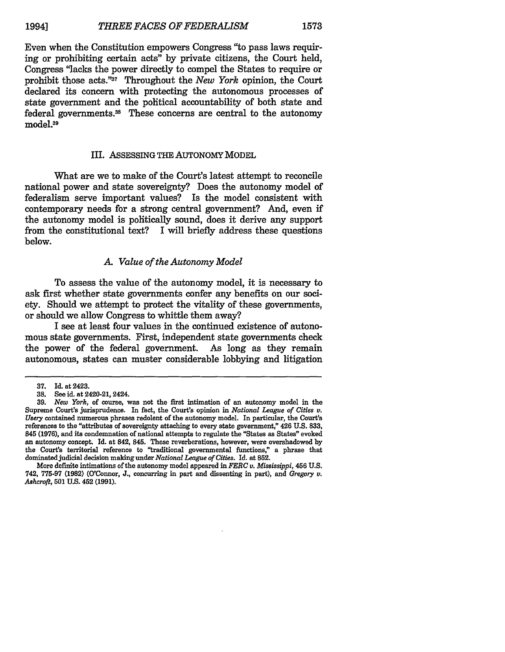Even when the Constitution empowers Congress "to pass laws requiring or prohibiting certain acts" by private citizens, the Court held, Congress 'lacks the power directly to compel the States to require or prohibit those acts."<sup>37</sup> Throughout the *New York* opinion, the Court declared its concern with protecting the autonomous processes of state government and the political accountability of both state and federal governments.<sup>38</sup> These concerns are central to the autonomy model.<sup>39</sup>

#### III. ASSESSING THE AUTONOMY MODEL

What are we to make of the Court's latest attempt to reconcile national power and state sovereignty? Does the autonomy model of federalism serve important values? Is the model consistent with contemporary needs for a strong central government? And, even if the autonomy model is politically sound, does it derive any support from the constitutional text? I will briefly address these questions below.

#### *A Value of the Autonomy Model*

To assess the value of the autonomy model, it is necessary to ask first whether state governments confer any benefits on our society. Should we attempt to protect the vitality of these governments, or should we allow Congress to whittle them away?

I see at least four values in the continued existence of autonomous state governments. First, independent state governments check the power of the federal government. As long as they remain autonomous, states can muster considerable lobbying and litigation

More definite intimations of the autonomy model appeared in *FERC v. Mississippi,* 456 U.S. 742, 775-97 (1982) (O'Connor, J., concurring in part and dissenting in part), and *Gregory v. Ashcroft,* **501** U.S. 452 (1991).

<sup>37.</sup> Id. at 2423.

**<sup>38.</sup>** See id. at 2420-21, 2424.

<sup>39.</sup> *New York,* of course, was not the first intimation of an autonomy model in the Supreme Court's jurisprudence. In fact, the Court's opinion in *National League of Cities v. Usery* contained numerous phrases redolent of the autonomy model. In particular, the Court's references to the "attributes of sovereignty attaching to every state government," 426 U.S. 833, 845 **(1976),** and its condemnation of national attempts to regulate the "States as States" evoked an autonomy concept. Id. at 842, 845. These reverberations, however, were overshadowed by the Court's territorial reference to "traditional governmental finctions," a phrase that dominated judicial decision making under *National League of Cities.* Id. at 852.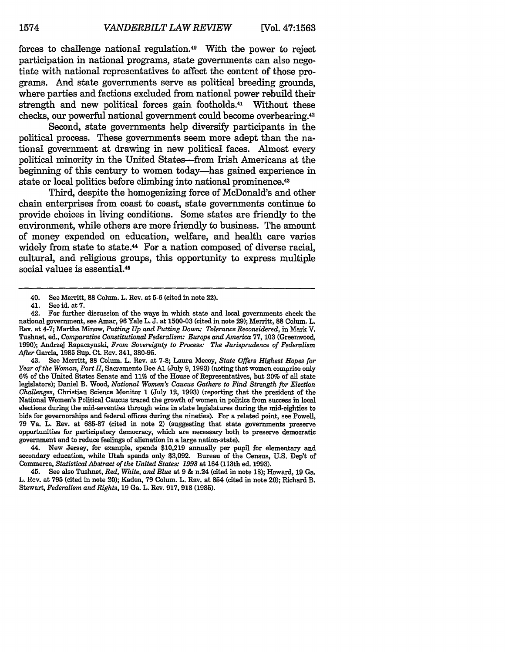forces to challenge national regulation."° With the power to reject participation in national programs, state governments can also negotiate with national representatives to affect the content of those programs. And state governments serve as political breeding grounds, where parties and factions excluded from national power rebuild their strength and new political forces gain footholds.<sup>41</sup> Without these checks, our powerful national government could become overbearing.42

Second, state governments help diversify participants in the political process. These governments seem more adept than the national government at drawing in new political faces. Almost every political minority in the United States-from Irish Americans at the beginning of this century to women today-has gained experience in state or local politics before climbing into national prominence.<sup>43</sup>

Third, despite the homogenizing force of McDonald's and other chain enterprises from coast to coast, state governments continue to provide choices in living conditions. Some states are friendly to the environment, while others are more friendly to business. The amount of money expended on education, welfare, and health care varies widely from state to state.<sup>44</sup> For a nation composed of diverse racial, cultural, and religious groups, this opportunity to express multiple social values is essential.<sup>45</sup>

44. New Jersey, for example, spends \$10,219 annually per pupil for elementary and secondary education, while Utah spends only \$3,092. Bureau of the Census, U.S. Dep't of Commerce, *Statistical Abstract of the United States: 1993* at 164 (113th ed. 1993).

45. See also Tushnet, *Red, White, and Blue* at 9 & n.24 (cited in note 18); Howard, 19 Ga. L. Rev. at **795** (cited in note 20); Kaden, 79 Colum. L. Rev. at 854 (cited in note 20); Richard B. Stewart, *Federalism and Rights,* **19** Ga. L. Rev. **917, 918** (1985).

<sup>40.</sup> See Merritt, **88** Colum. L. Rev. at **5-6** (cited in note 22).

<sup>41.</sup> See id. at 7.<br>42. For further

<sup>42.</sup> For further discussion of the ways in which state and local governments check the national government, see Amar, 96 Yale L. J. at 1500-03 (cited in note 29); Merritt, 88 Colum. L. Rev. at 4-7; Martha Minow, *Putting Up and Putting Down: Tolerance Reconsidered,* in Mark V. Tushnet, ed., *Comparative Constitutional Federalism: Europe and America* 77, **103** (Greenwood, 1990); Andrzej Rapaczynski, *From Sovereignty to Process: The Jurisprudence of Federalism After* Garcia, 1985 Sup. Ct. Rev. 341, 380-95.

<sup>43.</sup> See Merritt, **88** Colum. L. Rev. at 7-8; Laura Mecoy, *State Offers Highest Hopes for Year of the Woman, Part II,* Sacramento Bee **Al** (July 9, 1993) (noting that women comprise only 6% of the United States Senate and 11% of the House of Representatives, but 20% of all state legislators); Daniel B. Wood, *National Women's Caucus Gathers to Find Strength for Election Challenges,* Christian Science Monitor 1 (July 12, 1993) (reporting that the president of the National Women's Political Caucus traced the growth of women in politics from success in local elections during the mid-seventies through wins in state legislatures during the mid-eighties to bids for governorships and federal offices during the nineties). For a related point, see Powell, 79 Va. L. Rev. at 685-87 (cited in note 2) (suggesting that state governments preserve opportunities for participatory democracy, which are necessary both to preserve democratic government and to reduce feelings of alienation in a large nation-state).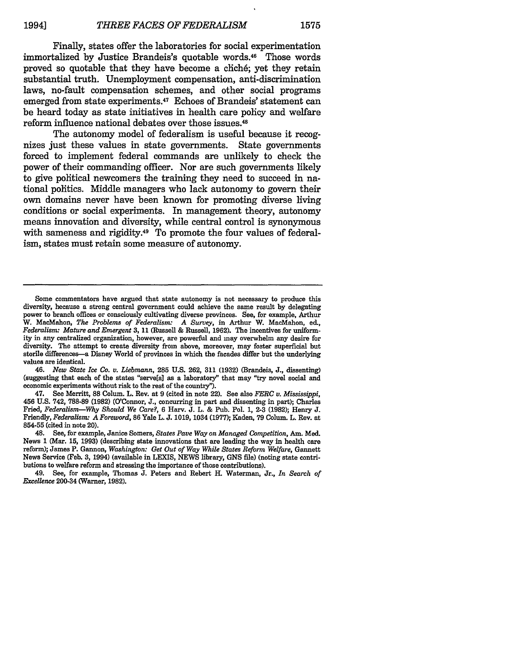Finally, states offer the laboratories for social experimentation immortalized by Justice Brandeis's quotable words.<sup>46</sup> Those words proved so quotable that they have become a cliché; yet they retain substantial truth. Unemployment compensation, anti-discrimination laws, no-fault compensation schemes, and other social programs emerged from state experiments. 47 Echoes of Brandeis' statement can be heard today as state initiatives in health care policy and welfare reform influence national debates over those issues.<sup>48</sup>

The autonomy model of federalism is useful because it recognizes just these values in state governments. State governments forced to implement federal commands are unlikely to check the power of their commanding officer. Nor are such governments likely to give political newcomers the training they need to succeed in national politics. Middle managers who lack autonomy to govern their own domains never have been known for promoting diverse living conditions or social experiments. In management theory, autonomy means innovation and diversity, while central control is synonymous with sameness and rigidity.<sup>49</sup> To promote the four values of federalism, states must retain some measure of autonomy.

46. *New State Ice Co. v. Liebmann,* **285 U.S. 262, 311 (1932)** (Brandeis, **J.,** dissenting) (suggesting that each of the states "serve[s] as a laboratory" that may "try novel social and economic experiments without risk to the rest of the country").

47. See Merritt, **88** Colum. L. Rev. at **9** (cited in note 22). See also *FERC v. Mississippi,* 456 U.S. 742, **788-89 (1982)** (O'Connor, J., concurring in part and dissenting in part); Charles Fried, *Federalism-Why Should We Care?,* **6** Harv. J. L. & Pub. Pol. 1, **2-3 (1982);** Henry J. Friendly, *Federalism: A Foreword,* **86** Yale L. J. **1019,** 1034 **(1977);** Kaden, **79** Colum. L. Rev. at **854-55** (cited in note 20).

48. See, for example, Janice Somers, *States Pave Way on Managed Competition, Am.* Med. News 1 (Mar. **15, 1993)** (describing state innovations that are leading the way in health care reform); James P. Gannon, *Washington: Get Out of Way While States Reform Welfare,* Gannett News Service (Feb. **3,** 1994) (available in LEXIS, **NEWS** library, **GNS** file) (noting state contributions to welfare reform and stressing the importance of those contributions).

49. See, for example, Thomas **J.** Peters and Robert H. Waterman, Jr., *In Search of Excellence* 200-34 (Warner, **1982).**

Some commentators have argued that state autonomy is not necessary to produce this diversity, because a strong central government could achieve the same result by delegating power to branch offices or consciously cultivating diverse provinces. See, for example, Arthur W. MacMahon, *The Problems of Federalism: A Survey,* in Arthur W. MacMahon, ed., *Federalism; Mature and Emergent* **3,** 11 (Russell & Russell, **1962).** The incentives for uniformity in any centralized organization, however, are powerful and may overwhelm any desire for diversity. The attempt to create diversity from above, moreover, may foster superficial but sterile differences-a Disney World of provinces in which the facades differ but the underlying values are identical.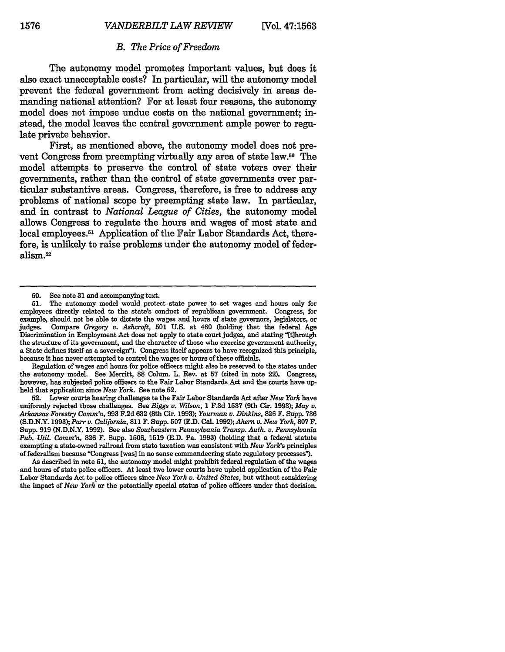## *B. The Price of Freedom*

The autonomy model promotes important values, but does it also exact unacceptable costs? In particular, will the autonomy model prevent the federal government from acting decisively in areas demanding national attention? For at least four reasons, the autonomy model does not impose undue costs on the national government; instead, the model leaves the central government ample power to **regu**late private behavior.

First, as mentioned above, the autonomy model does not prevent Congress from preempting virtually any area of state law.50 The model attempts to preserve the control of state voters over their governments, rather than the control of state governments over particular substantive areas. Congress, therefore, is free to address any problems of national scope **by** preempting state law. In particular, and in contrast to *National League of Cities,* the autonomy model allows Congress to regulate the hours and wages of most state and local employees.<sup>51</sup> Application of the Fair Labor Standards Act, therefore, is unlikely to raise problems under the autonomy model of federalism.52

Regulation of wages and hours for police officers might also be reserved to the states under the autonomy model. See Merritt, **88** Colum. L. Rev. at **57** (cited in note 22). Congress, however, has subjected police officers to the Fair Labor Standards Act and the courts have upheld that application since *New York.* See note **52.**

**52.** Lower courts hearing challenges to the Fair Labor Standards Act after *New York* have uniformly rejected those challenges. See *Biggs v. Wilson,* **1 F.3d 1537** (9th Cir. **1993);** *May v. Arkansas Forestry Cornm'n,* **993 F.2d 632** (8th Cir. **1993);** *Yourman v. Dinkins,* **826 F.** Supp. **736 (S.D.N.Y. 1993);** *Parr v. California,* **811** F. Supp. **507 (E.D.** Cal. **1992);** *Ahern v. New York,* **807** F. Supp. **919 (N.D.N.Y. 1992).** See also *Southeastern Pennsylvania Transp. Auth. v. Pennsylvania Pub. Util. Corm'n,* **826** F. Supp. **1506, 1519 (E.D.** Pa. **1993)** (holding that a federal statute exempting a state-owned railroad from state taxation was consistent with *New York's* principles of federalism because "Congress [was] in no sense commandeering state regulatory processes").

As described in note **51,** the autonomy model might prohibit federal regulation of the wages and hours of state police officers. At least two lower courts have upheld application of the Fair Labor Standards Act to police officers since *New York v. United States,* but without considering the impact of *New York* or the potontially special status of police officers under that decision.

**<sup>50.</sup>** See note **31** and accompanying text.

**<sup>51.</sup>** The autonomy model would protect state power to set wages and hours only for employees directly related to the state's conduct of republican government. Congress, for example, should not be able to dictate the wages and hours of state governors, legislators, or judges. Compare Gregory v. Ashcroft, 501 U.S. at 460 (holding that the federal Age Compare *Gregory v. Ashcroft*, **501** U.S. at 460 (holding that the federal Age Discrimination in Employment Act does not apply to state court judges, and stating "[t]hrough the structure of its government, and the character of those who exercise government authority, a State defines itself as a sovereign"). Congress itself appears to have recognized this principle, because it has never attempted to control the wages or hours of these officials.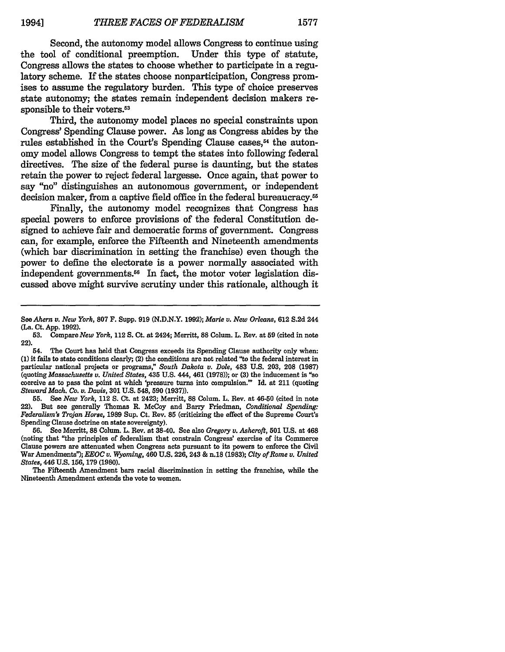Second, the autonomy model allows Congress to continue using<br>ol of conditional preemption. Under this type of statute. the tool of conditional preemption. Congress allows the states to choose whether to participate in a regulatory scheme. If the states choose nonparticipation, Congress promises to assume the regulatory burden. This type of choice preserves state autonomy; the states remain independent decision makers responsible to their voters.<sup>53</sup>

Third, the autonomy model places no special constraints upon Congress' Spending Clause power. As long as Congress abides by the rules established in the Court's Spending Clause cases.<sup>54</sup> the autonomy model allows Congress to tempt the states into following federal directives. The size of the federal purse is daunting, but the states retain the power to reject federal largesse. Once again, that power to say "no" distinguishes an autonomous government, or independent decision maker, from a captive field office in the federal bureaucracy.<sup>55</sup>

Finally, the autonomy model recognizes that Congress has special powers to enforce provisions of the federal Constitution designed to achieve fair and democratic forms of government. Congress can, for example, enforce the Fifteenth and Nineteenth amendments (which bar discrimination in setting the franchise) even though the power to define the electorate is a power normally associated with independent governments.<sup>56</sup> In fact, the motor voter legislation discussed above might survive scrutiny under this rationale, although it

**55.** See *New York,* 112 **S.** Ct. at 2423; Merritt, **88** Colum. L. Rev. at 46-50 (cited in note 22). But see generally Thomas R. McCoy and Barry Friedman, *Conditional Spending: Federalism's Trojan Horse,* 1989 Sup. Ct. Rev. **85** (criticizing the effect of the Supreme Court's Spending Clause doctrine on state sovereignty).

**56.** See Merritt, **88** Colum. L. Rev. at 38-40. See also *Gregory v. Ashcroft,* **501** U.S. at 468 (noting that "the principles of federalism that constrain Congress' exercise of its Commerce Clause powers are attenuated when Congress acts pursuant to its powers to enforce the Civil War Amendments"); *EEOC v. Wyoming,* 460 U.S. 226, 243 & n.18 (1983); *City of Rome v. United States,* 446 U.S. **156,** 179 (1980).

The Fifteenth Amendment bars racial discrimination in setting the franchise, while the Nineteenth Amendment extends the vote to women.

*See Ahern v. New York,* **807** F. Supp. 919 (N.D.N.Y. 1992); *Marie v. New Orleans,* 612 S.2d 244 (La. Ct. App. 1992).

**<sup>53.</sup>** Compare *New York,* 112 **S.** Ct. at 2424; Merritt, **88** Colum. L. Rev. at **59** (cited in note 22).

<sup>54.</sup> The Court has held that Congress exceeds its Spending Clause authority only when: **(1)** it fails to state conditions clearly; (2) the conditions are not related "to the federal interest in particular national projects or programs," *South Dakota v. Dole,* 483 U.S. 203, 208 (1987) (quoting *Massachusetts v. United States,* 435 U.S. 444, 461 (1978)); or (3) the inducement is "so coercive as to pass the point at which 'pressure turns into compulsion." Id. at 211 (quoting *Steward Mach. Co. v. Davis,* **301** U.S. 548, **590** (1937)).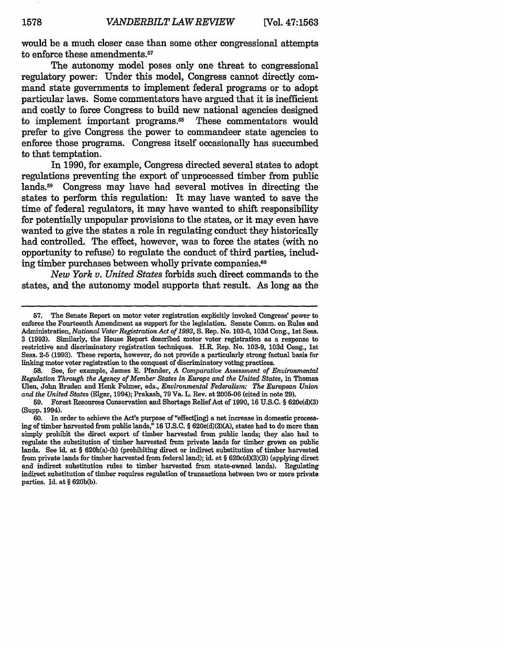would be a much closer case than some other congressional attempts to enforce these amendments.57

The autonomy model poses only one threat to congressional regulatory power: Under this model, Congress cannot directly command state governments to implement federal programs or to adopt particular laws. Some commentators have argued that it is inefficient and costly to force Congress to build new national agencies designed to implement important programs.<sup>58</sup> These commentators would prefer to give Congress the power to commandeer state agencies to enforce those programs. Congress itself occasionally has succumbed to that temptation.

In **1990,** for example, Congress directed several states to adopt regulations preventing the export of unprocessed timber from public lands.59 Congress may have had several motives in directing the states to perform this regulation: It may have wanted to save the time of federal regulators, it may have wanted to shift responsibility for potentially unpopular provisions to the states, or it may even have wanted to give the states a role in regulating conduct they historically had controlled. The effect, however, was to force the states (with no opportunity to refuse) to regulate the conduct of third parties, including timber purchases between wholly private companies.<sup>60</sup>

*New York v. United States* forbids such direct commands to the states, and the autonomy model supports that result. As long as the

**58.** See, for example, James **E.** Pfander, *A Comparative Assessment of Environmental Regulation Through the Agency of Member States in Europe and the United States,* in Thomas Ulen, John Braden and Henk Folmer, eds., *Environmental Federalism: The European Union and the United States* (Elgar, 1994); Prakash, 79 Va. L. Rev. at 2005-06 (cited in note 29).

**<sup>57.</sup>** The Senate Report on motor voter registration explicitly invoked Congress' power to enforce the Fourteenth Amendment as support for the legislation. Senate Comm. on Rules and Administration, *National Voter Registration Act of 1993,* **S.** Rep. No. **103-6, 103d** Cong., 1st Sess. **3 (1993).** Similarly, the House Report described motor voter registration as a response to restrictive **and** discriminatory registration techniques. H.R. Rep. No. **103-9, 103d** Cong., **1st** Sess. **2-5 (1993).** These reports, however, do not provide a particularly strong factual basis for linking motor voter registration to the conquest of discriminatory voting practices.

<sup>59.</sup> Forest Resources Conservation and Shortage Relief Act of 1990, **16** U.S.C. § 620c(d)(3) (Supp. 1994).

<sup>60.</sup> In order to achieve the Act's purpose of"effect[ing] a net increase in domestic processing of timber harvested from public lands," 16 U.S.C. § 620c(d)(3)(A), states had to do more than simply prohibit the direct export of timber harvested from public lands; they also had to regulate the substitution of timber harvested from private lands for timber grown on public lands. See id. at § 620b(a)-(b) (prohibiting direct or indirect substitution of timber harvested from private lands for timber harvested from federal land); id. at § 620c(d)(3)(B) (applying direct and indirect substitution rules to timber harvested from state-owned lands). Regulating indirect substitution of timber requires regulation of transactions between two or more private parties. **Id.** at § 620b(b).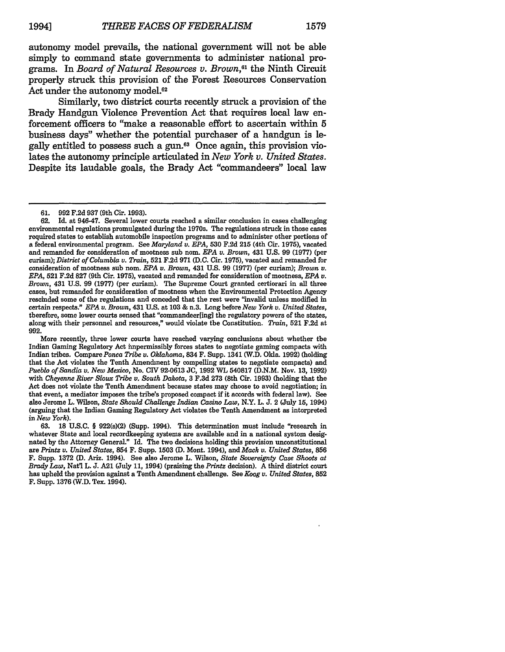autonomy model prevails, the national government will not be able simply to command state governments to administer national programs. In *Board of Natural Resources v. Brown,6 <sup>1</sup>*the Ninth Circuit properly struck this provision of the Forest Resources Conservation Act under the autonomy model.<sup>62</sup>

Similarly, two district courts recently struck a provision of the Brady Handgun Violence Prevention Act that requires local law enforcement officers to "make a reasonable effort to ascertain within 5 business days" whether the potential purchaser of a handgun is legally entitled to possess such a gun.63 Once again, this provision violates the autonomy principle articulated in *New York v. United States.* Despite its laudable goals, the Brady Act "commandeers" local law

<sup>61. 992</sup> F.2d 937 (9th Cir. 1993).

**<sup>62.</sup>** Id. at 946-47. Several lower courts reached a similar conclusion in cases challenging environmental regulations promulgated during the 1970s. The regulations struck in those cases required states to establish automobile inspection programs and to administer other portions of a federal environmental program. See *Maryland u. EPA,* **530 F.2d 215** (4th Cir. **1975),** vacated and remanded for consideration of mootness sub nom. *EPA v. Brown,* 431 **U.S. 99 (1977)** (per curiam); *District of Columbia v. Train,* **521 F.2d 971 (D.C.** Cir. **1975),** vacated and remanded for consideration of mootness sub nom. *EPA v. Brown,* 431 **U.S. 99 (1977)** (per curiam); *Brown v. EPA,* **521 F.2d 827** (9th Cir. **1975),** vacated and remanded for consideration of mootness, *EPA v. Brown,* 431 **U.S. 99 (1977)** (per curian). The Supreme Court granted certiorari in all three cases, but remanded for consideration of mootness when the Environmental Protection Agency rescinded some of the regulations and conceded that the rest were "invalid unless modified in certain respects." *EPA v. Brown,* 431 **U.S.** at **103 &** n.3. Long before *New York v. United States,* therefore, some lower courts sensed that "commandeer[ing] the regulatory powers of the states, along with their personnel and resources," would violate the Constitution. *Train,* 521 **F.2d** at **992.**

More recently, three lower courts have reached varying conclusions about whether the Indian Gaming Regulatory Act impermissibly forces states to negotiate gaming compacts with Indian tribes. Compare *Ponca Tribe v. Oklahoma,* 834 F. Supp. 1341 (W.D. Okla. **1992)** (holding that the Act violates the Tenth Amendment **by** compelling states to negotiate compacts) and *Pueblo of Sandia v. New Mexico,* No. **CIV 92-0613 JC, 1992** WL **540817 (D.N.M.** Nov. **13, 1992)** with *Cheyenne River Sioux Tribe v. South Dakota,* **3 F.3d 273** (8th Cir. **1993)** (holding that the Act does not violate the Tenth Amendment because states may choose to avoid negotiation; in that event, a mediator imposes the tribe's proposed compact if it accords with federal law). See also Jerome L. Wilson, *State Should Challenge Indian Casino Law,* N.Y. L. **J.** 2 (July **15,** 1994) (arguing that the Indian Gaming Regulatory Act violates the Tenth Amendment as interpreted in *New York).*

<sup>63.</sup> **18** U.S.C. § 922(s)(2) (Supp. 1994). This determination must include "research in whatever State and local recordkeeping systems are available and in a national system designated by the Attorney General." Id. The two decisions holding this provision unconstitutional are *Printz v. United States,* 854 F. Supp. 1503 (D. Mont. 1994), and *Mack v. United States,* **856** F. Supp. 1372 (D. **Ariz.** 1994). See also Jerome L. Wilson, *State Sovereignty Case Shoots at Brady Law,* Nat'l L. J. A21 (July 11, 1994) (praising the *Printz* decision). A third district court has upheld the provision against a Tenth Amendment challenge. See *Koog v. United States,* **852** F. Supp. 1376 (W.D. Tex. 1994).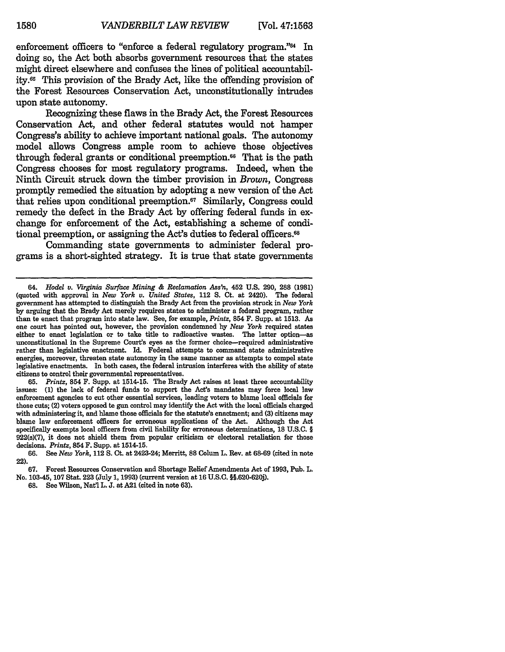enforcement officers to "enforce a federal regulatory program."<sup>64</sup> In doing so, the Act both absorbs government resources that the states might direct elsewhere and confuses the lines of political accountability.66 This provision of the Brady Act, like the offending provision of the Forest Resources Conservation Act, unconstitutionally intrudes upon state autonomy.

Recognizing these flaws in the Brady Act, the Forest Resources Conservation Act, and other federal statutes would not hamper Congress's ability to achieve important national goals. The autonomy model allows Congress ample room to achieve those objectives through federal grants or conditional preemption.66 That is the path Congress chooses for most regulatory programs. Indeed, when the Ninth Circuit struck down the timber provision in *Brown,* Congress promptly remedied the situation by adopting a new version of the Act that relies upon conditional preemption.<sup>67</sup> Similarly, Congress could remedy the defect in the Brady Act by offering federal funds in exchange for enforcement of the Act, establishing a scheme of conditional preemption, or assigning the Act's duties to federal officers.<sup>68</sup>

Commanding state governments to administer federal programs is a short-sighted strategy. It is true that state governments

**65.** *Printz,* 854 F. Supp. at 1514-15. The Brady Act raises at least three accountability issues: (1) the lack of federal funds to support the Act's mandates may force local law enforcement agencies to cut other essential services, leading voters to blame local officials for those cuts; (2) voters opposed to gun control may identify the Act with the local officials charged with administering it, and blame those officials for the statute's enactment; and **(3)** citizens may blame law enforcement officers for erroneous applications of the Act. Although the Act specifically exempts local officers from civil liability for erroneous determinations, **18 U.S.C.** § 922(s)(7), it does not shield them from popular criticism or electoral retaliation for those decisions. *Printz,* 854 F. Supp. at 1514-15.

<sup>64.</sup> *Hodel v. Virginia Surface Mining & Reclamation Ass'n,* 452 U.S. 290, **288** (1981) (quoted with approval in *New York v. United States,* 112 **S.** Ct. at 2420). The federal government has attempted to distinguish the Brady Act from the provision struck in *New York* by arguing that the Brady Act merely requires states to administer a federal program, rather than to enact that program into state law. See, for example, *Printz,* 854 F. Supp. at 1513. As one court has pointed out, however, the provision condemned by *New York* required states either to enact legislation or to take title to radioactive wastes. The latter option-as unconstitutional in the Supreme Court's eyes as the former choice-required administrative rather than legislative enactment. Id. Federal attempts to command state administrative energies, moreover, threaten state autonomy in the same manner as attempts to compel state legislative enactments. In both cases, the federal intrusion interferes with the ability of state citizens to control their governmental representatives.

**<sup>66.</sup>** See *New York,* 112 **S.** Ct. at 2423-24; Merritt, 88 Colum L. Rev. at **68-69** (cited in note 22).

**<sup>67.</sup>** Forest Resources Conservation and Shortage Relief Amendments Act of **1993, Pub.** L. No. 103-45, **107** Stat. **223** (July **1, 1993)** (current version at **16 U.S.C. §§.620-620j).**

**<sup>68.</sup>** See Wilson, Natl L. **J.** at **A21** (cited in note **63).**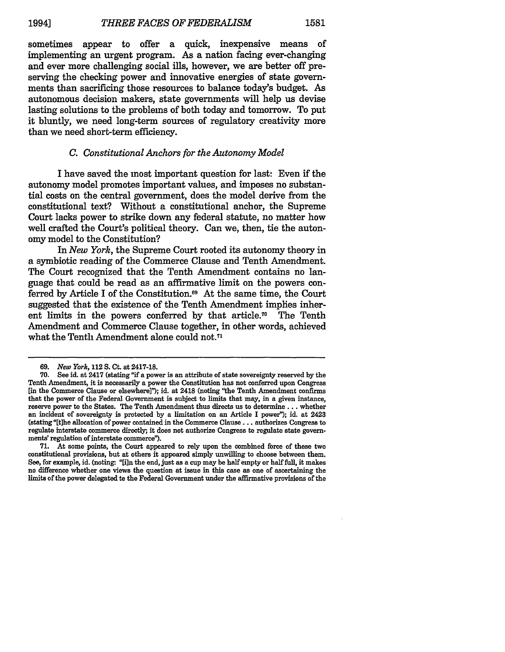sometimes appear to offer a quick, inexpensive means of implementing an urgent program. As a nation facing ever-changing and ever more challenging social ills, however, we are better off preserving the checking power and innovative energies of state governments than sacrificing those resources to balance today's budget. As autonomous decision makers, state governments will help us devise lasting solutions to the problems of both today and tomorrow. To put it bluntly, we need long-term sources of regulatory creativity more than we need short-term efficiency.

## *C. Constitutional Anchors for the Autonomy Model*

I have saved the most important question for last: Even if the autonomy model promotes important values, and imposes no substantial costs on the central government, does the model derive from the constitutional text? Without a constitutional anchor, the Supreme Court lacks power to strike down any federal statute, no matter how well crafted the Court's political theory. Can we, then, tie the autonomy model to the Constitution?

In *New York,* the Supreme Court rooted its autonomy theory in a symbiotic reading of the Commerce Clause and Tenth Amendment. The Court recognized that the Tenth Amendment contains no language that could be read as an affirmative limit on the powers conferred by Article I of the Constitution.<sup>69</sup> At the same time, the Court suggested that the existence of the Tenth Amendment implies inherent limits in the powers conferred by that article.70 The Tenth Amendment and Commerce Clause together, in other words, achieved what the Tenth Amendment alone could not.<sup>71</sup>

*<sup>69.</sup> New York,* 112 S. Ct. at **2417-18.**

See id. at 2417 (stating "if a power is an attribute of state sovereignty reserved by the Tenth Amendment, it is necessarily a power the Constitution has not conferred upon Congress [in the Commerce Clause or elsewhere]"); id. at 2418 (noting "the Tenth Amendment confirms that the power of the Federal Government is subject to limits that may, in a given instance, reserve power to the States. The Tenth Amendment thus directs us to determine **...** whether an incident of sovereignty is protected by a limitation on an Article I power"); id. at 2423 (stating "[t]he allocation of power contained in the Commerce Clause... authorizes Congress to regulate interstate commerce directly; it does not authorize Congress to regulate state governments' regulation of interstate commerce").

<sup>71.</sup> At some points, the Court appeared to rely upon the combined force of these two constitutional provisions, but at others it appeared simply unwilling to choose between them. See, for example, id. (noting: "[i]n the end, just as a cup may be half empty or half full, it makes no difference whether one views the question at issue in this case as one of ascertaining the limits of the power delegated to the Federal Government under the affirative provisions of the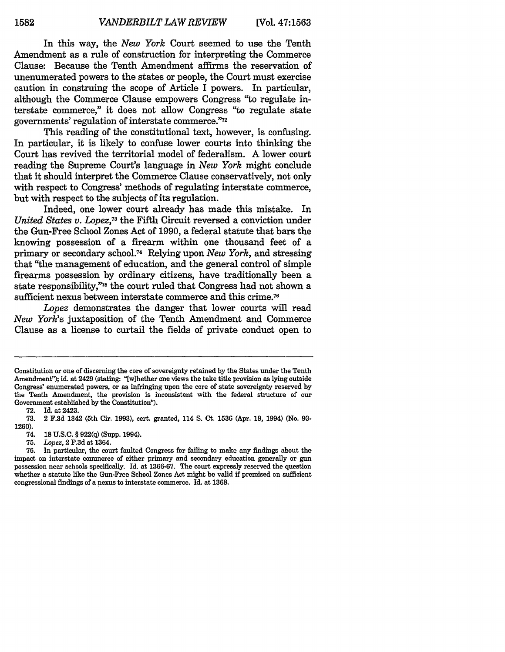In this way, the *New York* Court seemed to use the Tenth Amendment as a rule of construction for interpreting the Commerce Clause: Because the Tenth Amendment affirms the reservation of unenumerated powers to the states or people, the Court must exercise caution in construing the scope of Article I powers. In particular, although the Commerce Clause empowers Congress "to regulate interstate commerce," it does not allow Congress "to regulate state governments' regulation of interstate commerce."72

This reading of the constitutional text, however, is confusing. In particular, it is likely to confuse lower courts into thinking the Court has revived the territorial model of federalism. A lower court reading the Supreme Court's language in *New York* might conclude that it should interpret the Commerce Clause conservatively, not only with respect to Congress' methods of regulating interstate commerce, but with respect to the subjects of its regulation.

Indeed, one lower court already has made this mistake. In *United States v. Lopez*,<sup>73</sup> the Fifth Circuit reversed a conviction under the Gun-Free School Zones Act of 1990, a federal statute that bars the knowing possession of a firearm within one thousand feet of a primary or secondary school.<sup>74</sup> Relying upon *New York*, and stressing that "the management of education, and the general control of simple firearms possession by ordinary citizens, have traditionally been a state responsibility,"<sup>75</sup> the court ruled that Congress had not shown a sufficient nexus between interstate commerce and this crime.<sup>76</sup>

*Lopez* demonstrates the danger that lower courts will read *New York's* juxtaposition of the Tenth Amendment and Commerce Clause as a license to curtail the fields of private conduct open to

Constitution or one of discerning the core of sovereignty retained **by** the States under the Tenth Amendment"); id. at 2429 (stating: "[wlhether one views the take title provision as lying outside Congress' enumerated powers, or as infringing upon the core of state sovereignty reserved **by** the Tenth Amendment, the provision is inconsistent with the federal structure of our Government established **by** the Constitution").

**<sup>72.</sup>** Id. at 2423.

**<sup>73.</sup>** 2 **F.3d** 1342 **(5th** Cir. **1993),** cert. granted, 114 **S.** Ct. **1536** (Apr. **18,** 1994) (No. **93- 1260).**

<sup>74.</sup> **18 U.S.C.** § **922(q)** (Supp. 1994).

**<sup>75.</sup>** *Lopez,* 2 **F.3d** at 1364.

**<sup>76.</sup>** In particular, the court faulted Congress for failing to make any findings about the impact on interstate commerce of either primary and secondary education generally or gun possession near schools specifically. **Id.** at **1366-67.** The court expressly reserved the question whether a statute like the Gun-Free School Zones Act might be valid **if** premised on sufficient congressional findings of a nexus to interstate commerce. Id. at **1368.**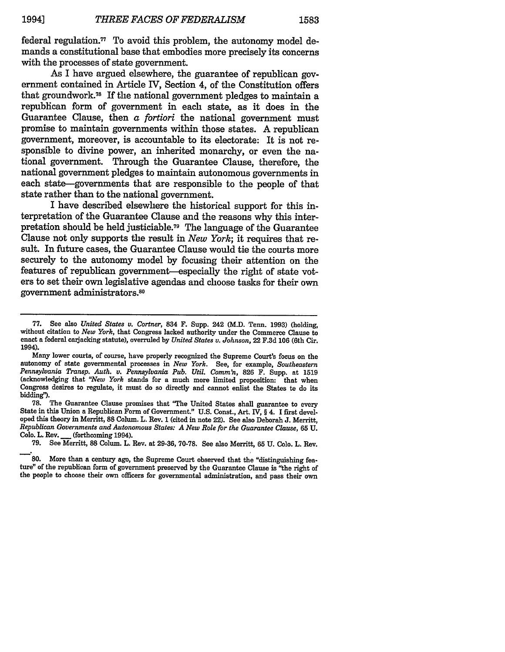federal regulation.<sup>77</sup> To avoid this problem, the autonomy model demands a constitutional base that embodies more precisely its concerns with the processes of state government.

As I have argued elsewhere, the guarantee of republican government contained in Article IV, Section 4, of the Constitution offers that groundwork. 78 If the national government pledges to maintain a republican form of government in each state, as it does in the Guarantee Clause, then a *fortiori* the national government must promise to maintain governments within those states. A republican government, moreover, is accountable to its electorate: It is not responsible to divine power, an inherited monarchy, or even the national government. Through the Guarantee Clause, therefore, the national government pledges to maintain autonomous governments in each state-governments that are responsible to the people of that state rather than to the national government.

I have described elsewhere the historical support for this interpretation of the Guarantee Clause and the reasons why this interpretation should be held justiciable.79 The language of the Guarantee Clause not only supports the result in *New York;* it requires that result. In future cases, the Guarantee Clause would tie the courts more securely to the autonomy model by focusing their attention on the features of republican government-especially the right of state voters to set their own legislative agendas and choose tasks for their own government administrators.80

State in this Union a Republican Form of Government." U.S. Const., Art. IV, § 4. I first developed this theory in Merritt, **88** Colum. L. Rev. **1** (cited in note 22). See also Deborah **J.** Merritt, *Republican Governments and Autonomous States: A New Role for the Guarantee Clause,* **65 U. Colo.** L. Rev. **\_** (forthcoming 1994).

79. See Merritt, **88** Colum. L. Rev. at 29-36, 70-78. See also Merritt, **65** U. Colo. L. Rev.

**80.** More than a century ago, the Supreme Court observed that the "distinguishing fea**ture"** of the republican form of government preserved by the Guarantee Clause is "the right of the people to choose their own officers for governmental administration, and pass their own

<sup>77.</sup> See also *United States v. Cortner, 834* F. Supp. 242 (M.D. Tenn. 1993) (holding, without citation to *New York,* that Congress lacked authority under the Commerce Clause to enact a federal caijacking statute), overruled by *United States v. Johnson,* 22 F.3d **106** (6th Cir. 1994).

Many lower courts, of course, have properly recognized the Supreme Court's focus on the autonomy of state governmental processes in *New York.* See, for example, *Southeastern Pennsylvania Transp. Auth. v. Pennsylvania Pub. Util. Comm'n,* **826** F. Supp. at **1519** (acknowledging that *"New York* stands for a much more limited proposition: that when Congress desires to regulate, it must do so directly and cannot enlist the States to do its bidding").<br>
78. The Guarantee Clause promises that "The United States shall guarantee to every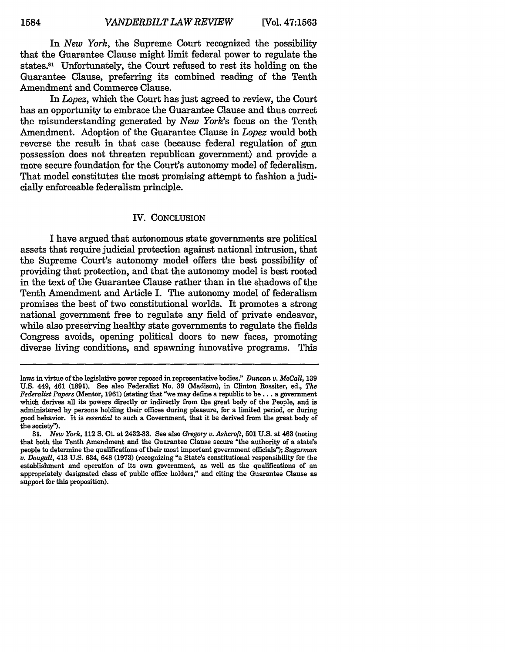In *New York,* the Supreme Court recognized the possibility that the Guarantee Clause might limit federal power to regulate the states.81 Unfortunately, the Court refused to rest its holding on the Guarantee Clause, preferring its combined reading of the Tenth Amendment and Commerce Clause.

In *Lopez,* which the Court has just agreed to review, the Court has an opportunity to embrace the Guarantee Clause and thus correct the misunderstanding generated by *New York's* focus on the Tenth Amendment. Adoption of the Guarantee Clause in *Lopez* would both reverse the result in that case (because federal regulation of **gun** possession does not threaten republican government) and provide a more secure foundation for the Court's autonomy model of federalism. That model constitutes the most promising attempt to fashion a judicially enforceable federalism principle.

#### IV. CONCLUSION

I have argued that autonomous state governments are political assets that require judicial protection against national intrusion, that the Supreme Court's autonomy model offers the best possibility of providing that protection, and that the autonomy model is best rooted in the text of the Guarantee Clause rather than in the shadows of the Tenth Amendment and Article I. The autonomy model of federalism promises the best of two constitutional worlds. It promotes a strong national government free to regulate any field of private endeavor, while also preserving healthy state governments to regulate the fields Congress avoids, opening political doors to new faces, promoting diverse living conditions, and spawning innovative programs. This

laws in virtue of the legislative power reposed in representative bodies." *Duncan v. McCall,* 139 U.S. 449, 461 (1891). See also Federalist No. 39 (Madison), in Clinton Rossiter, ed., *The Federalist Papers* (Mentor, 1961) (stating that "we may define a republic to be... a government which derives all its powers directly or indirectly from the great body of the People, and is administered by persons holding their offices during pleasure, for a limited period, or during good behavior. It is *essential* to such a Government, that it be derived from the great body of the society").

**<sup>81.</sup>** *New York,* 112 **S.** Ct. at 2432-33. See also *Gregory v. Ashcroft,* **501 U.S.** at 463 (noting that both the Tenth Amendment and the Guarantee Clause secure "the authority of a state's people to determine the qualifications of their most important government officials"); *Sugarman v. Dougall,* 413 **U.S.** 634, 648 **(1973)** (recognizing "a State's constitutional responsibility for the establishment and operation of its own government, as well as the qualifications of an appropriately designated class of public office holders," and citing the Guarantee Clause as support for this proposition).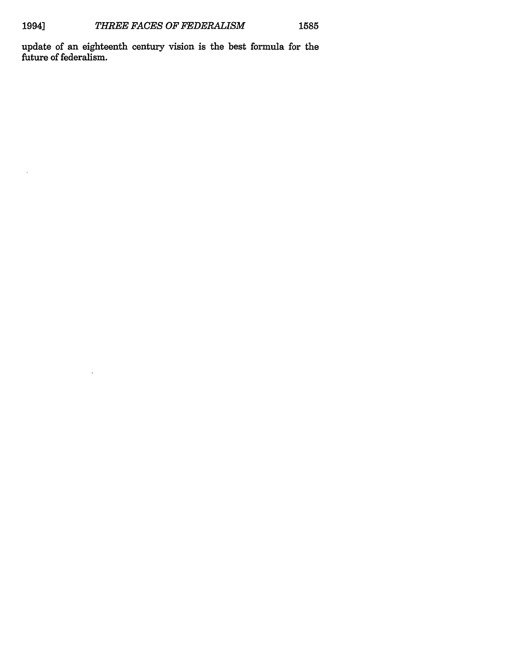$\bar{\mathcal{A}}$ 

update of an eighteenth century vision is the best formula for the future of federalism.